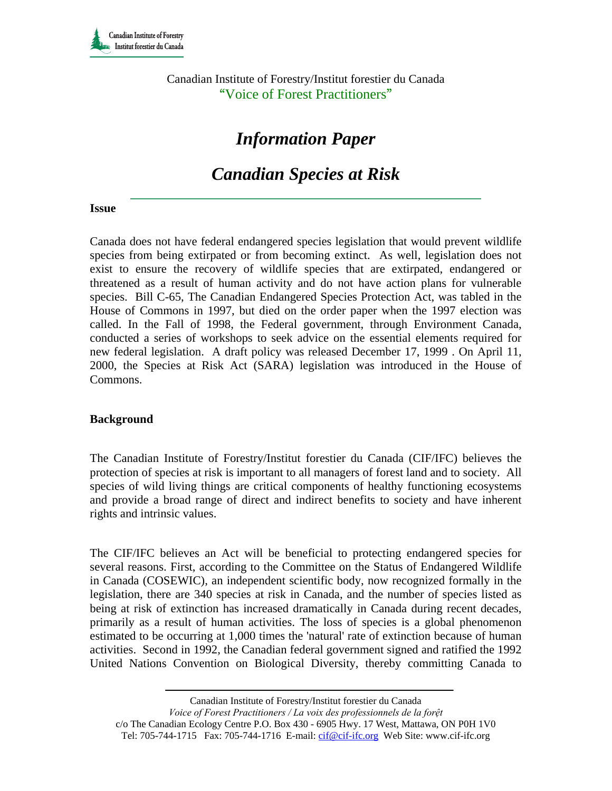Canadian Institute of Forestry/Institut forestier du Canada "Voice of Forest Practitioners"

# *Information Paper*

# *Canadian Species at Risk*

#### **Issue**

Canada does not have federal endangered species legislation that would prevent wildlife species from being extirpated or from becoming extinct. As well, legislation does not exist to ensure the recovery of wildlife species that are extirpated, endangered or threatened as a result of human activity and do not have action plans for vulnerable species. Bill C-65, The Canadian Endangered Species Protection Act, was tabled in the House of Commons in 1997, but died on the order paper when the 1997 election was called. In the Fall of 1998, the Federal government, through Environment Canada, conducted a series of workshops to seek advice on the essential elements required for new federal legislation. A draft policy was released December 17, 1999 . On April 11, 2000, the Species at Risk Act (SARA) legislation was introduced in the House of Commons.

#### **Background**

The Canadian Institute of Forestry/Institut forestier du Canada (CIF/IFC) believes the protection of species at risk is important to all managers of forest land and to society. All species of wild living things are critical components of healthy functioning ecosystems and provide a broad range of direct and indirect benefits to society and have inherent rights and intrinsic values.

The CIF/IFC believes an Act will be beneficial to protecting endangered species for several reasons. First, according to the Committee on the Status of Endangered Wildlife in Canada (COSEWIC), an independent scientific body, now recognized formally in the legislation, there are 340 species at risk in Canada, and the number of species listed as being at risk of extinction has increased dramatically in Canada during recent decades, primarily as a result of human activities. The loss of species is a global phenomenon estimated to be occurring at 1,000 times the 'natural' rate of extinction because of human activities. Second in 1992, the Canadian federal government signed and ratified the 1992 United Nations Convention on Biological Diversity, thereby committing Canada to

Canadian Institute of Forestry/Institut forestier du Canada

*Voice of Forest Practitioners / La voix des professionnels de la forệt*  c/o The Canadian Ecology Centre P.O. Box 430 - 6905 Hwy. 17 West, Mattawa, ON P0H 1V0 Tel: 705-744-1715 Fax: 705-744-1716 E-mail: cif@cif-ifc.org Web Site: www.cif-ifc.org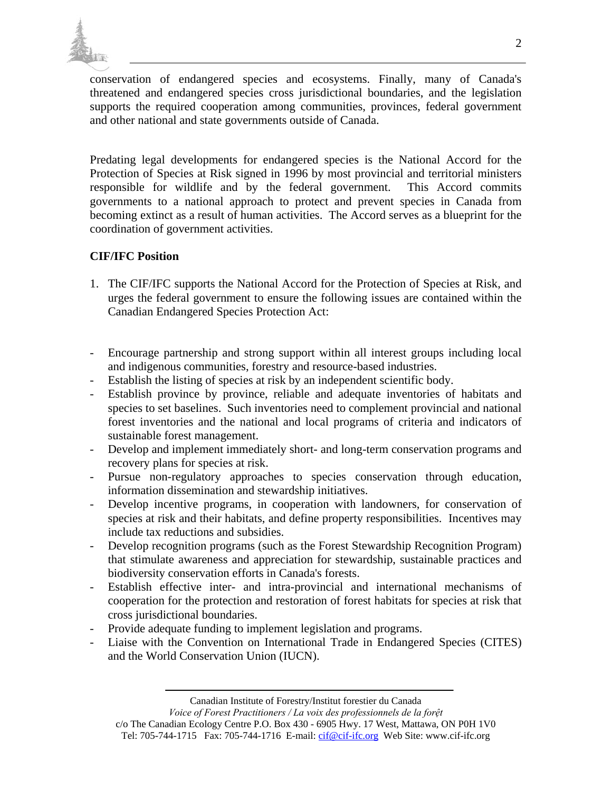

conservation of endangered species and ecosystems. Finally, many of Canada's threatened and endangered species cross jurisdictional boundaries, and the legislation supports the required cooperation among communities, provinces, federal government and other national and state governments outside of Canada.

Predating legal developments for endangered species is the National Accord for the Protection of Species at Risk signed in 1996 by most provincial and territorial ministers responsible for wildlife and by the federal government. This Accord commits governments to a national approach to protect and prevent species in Canada from becoming extinct as a result of human activities. The Accord serves as a blueprint for the coordination of government activities.

## **CIF/IFC Position**

- 1. The CIF/IFC supports the National Accord for the Protection of Species at Risk, and urges the federal government to ensure the following issues are contained within the Canadian Endangered Species Protection Act:
- Encourage partnership and strong support within all interest groups including local and indigenous communities, forestry and resource-based industries.
- Establish the listing of species at risk by an independent scientific body.
- Establish province by province, reliable and adequate inventories of habitats and species to set baselines. Such inventories need to complement provincial and national forest inventories and the national and local programs of criteria and indicators of sustainable forest management.
- Develop and implement immediately short- and long-term conservation programs and recovery plans for species at risk.
- Pursue non-regulatory approaches to species conservation through education, information dissemination and stewardship initiatives.
- Develop incentive programs, in cooperation with landowners, for conservation of species at risk and their habitats, and define property responsibilities. Incentives may include tax reductions and subsidies.
- Develop recognition programs (such as the Forest Stewardship Recognition Program) that stimulate awareness and appreciation for stewardship, sustainable practices and biodiversity conservation efforts in Canada's forests.
- Establish effective inter- and intra-provincial and international mechanisms of cooperation for the protection and restoration of forest habitats for species at risk that cross jurisdictional boundaries.
- Provide adequate funding to implement legislation and programs.
- Liaise with the Convention on International Trade in Endangered Species (CITES) and the World Conservation Union (IUCN).

Canadian Institute of Forestry/Institut forestier du Canada

*Voice of Forest Practitioners / La voix des professionnels de la forệt*  c/o The Canadian Ecology Centre P.O. Box 430 - 6905 Hwy. 17 West, Mattawa, ON P0H 1V0 Tel: 705-744-1715 Fax: 705-744-1716 E-mail: cif@cif-ifc.org Web Site: www.cif-ifc.org